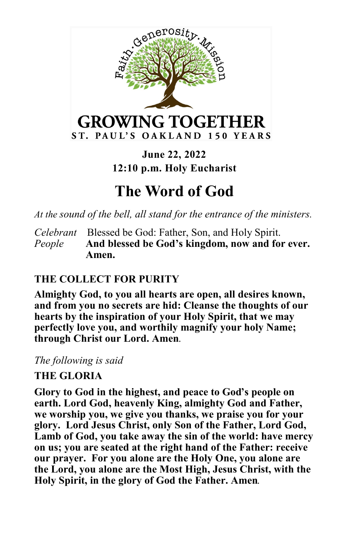

# **June 22, 2022 12:10 p.m. Holy Eucharist**

# **The Word of God**

*At the sound of the bell, all stand for the entrance of the ministers.*

*Celebrant* Blessed be God: Father, Son, and Holy Spirit. *People* **And blessed be God's kingdom, now and for ever. Amen.** 

#### **THE COLLECT FOR PURITY**

**Almighty God, to you all hearts are open, all desires known, and from you no secrets are hid: Cleanse the thoughts of our hearts by the inspiration of your Holy Spirit, that we may perfectly love you, and worthily magnify your holy Name; through Christ our Lord. Amen**.

*The following is said*

### **THE GLORIA**

**Glory to God in the highest, and peace to God's people on earth. Lord God, heavenly King, almighty God and Father, we worship you, we give you thanks, we praise you for your glory. Lord Jesus Christ, only Son of the Father, Lord God, Lamb of God, you take away the sin of the world: have mercy on us; you are seated at the right hand of the Father: receive our prayer. For you alone are the Holy One, you alone are the Lord, you alone are the Most High, Jesus Christ, with the Holy Spirit, in the glory of God the Father. Amen**.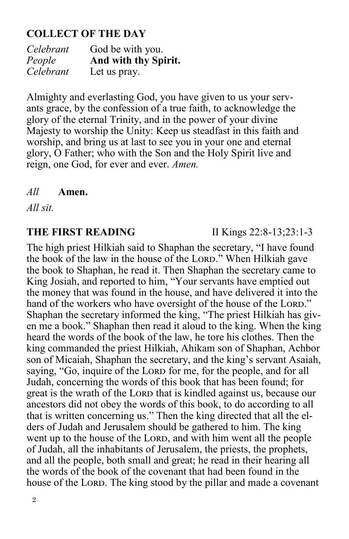#### **COLLECT OF THE DAY**

| Celebrant | God be with you.     |
|-----------|----------------------|
| People    | And with thy Spirit. |
| Celebrant | Let us pray.         |

Almighty and everlasting God, you have given to us your servants grace, by the confession of a true faith, to acknowledge the glory of the eternal Trinity, and in the power of your divine Majesty to worship the Unity: Keep us steadfast in this faith and worship, and bring us at last to see you in your one and eternal glory, O Father; who with the Son and the Holy Spirit live and reign, one God, for ever and ever. *Amen.*

*All* **Amen.**

*All sit.*

#### **THE FIRST READING** II Kings 22:8-13;23:1-3

The high priest Hilkiah said to Shaphan the secretary, "I have found the book of the law in the house of the Lord." When Hilkiah gave the book to Shaphan, he read it. Then Shaphan the secretary came to King Josiah, and reported to him, "Your servants have emptied out the money that was found in the house, and have delivered it into the hand of the workers who have oversight of the house of the LORD." Shaphan the secretary informed the king, "The priest Hilkiah has given me a book." Shaphan then read it aloud to the king. When the king heard the words of the book of the law, he tore his clothes. Then the king commanded the priest Hilkiah, Ahikam son of Shaphan, Achbor son of Micaiah, Shaphan the secretary, and the king's servant Asaiah, saying, "Go, inquire of the Lord for me, for the people, and for all Judah, concerning the words of this book that has been found; for great is the wrath of the LORD that is kindled against us, because our ancestors did not obey the words of this book, to do according to all that is written concerning us." Then the king directed that all the elders of Judah and Jerusalem should be gathered to him. The king went up to the house of the LORD, and with him went all the people of Judah, all the inhabitants of Jerusalem, the priests, the prophets, and all the people, both small and great; he read in their hearing all the words of the book of the covenant that had been found in the house of the LORD. The king stood by the pillar and made a covenant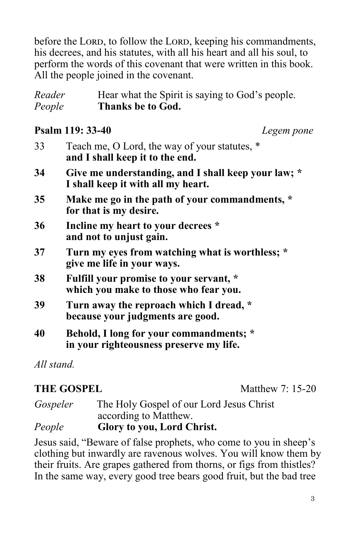before the LORD, to follow the LORD, keeping his commandments, his decrees, and his statutes, with all his heart and all his soul, to perform the words of this covenant that were written in this book. All the people joined in the covenant.

| Reader | Hear what the Spirit is saying to God's people. |
|--------|-------------------------------------------------|
| People | Thanks be to God.                               |

#### **Psalm 119: 33-40** *Legem pone*

| 33 | Teach me, O Lord, the way of your statutes, *<br>and I shall keep it to the end.          |
|----|-------------------------------------------------------------------------------------------|
| 34 | Give me understanding, and I shall keep your law; *<br>I shall keep it with all my heart. |
| 35 | Make me go in the path of your commandments, *<br>for that is my desire.                  |
| 36 | Incline my heart to your decrees *<br>and not to unjust gain.                             |
| 37 | Turn my eyes from watching what is worthless; *<br>give me life in your ways.             |
| 38 | Fulfill your promise to your servant, *<br>which you make to those who fear you.          |
| 39 | Turn away the reproach which I dread, *<br>because your judgments are good.               |
| 40 | Behold, I long for your commandments: *<br>in your righteousness preserve my life.        |

*All stand.*

**THE GOSPEL** Matthew 7: 15-20

| Gospeler | The Holy Gospel of our Lord Jesus Christ |
|----------|------------------------------------------|
|          | according to Matthew.                    |
| People   | Glory to you, Lord Christ.               |

Jesus said, "Beware of false prophets, who come to you in sheep's clothing but inwardly are ravenous wolves. You will know them by their fruits. Are grapes gathered from thorns, or figs from thistles? In the same way, every good tree bears good fruit, but the bad tree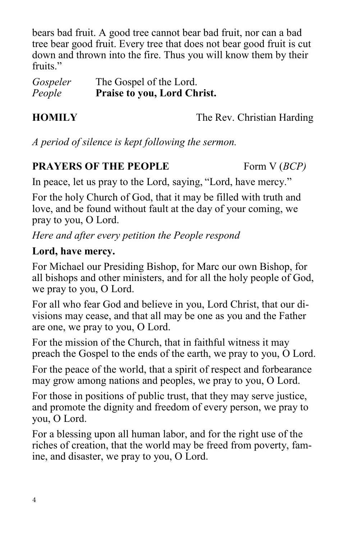bears bad fruit. A good tree cannot bear bad fruit, nor can a bad tree bear good fruit. Every tree that does not bear good fruit is cut down and thrown into the fire. Thus you will know them by their fruits."

*Gospeler* The Gospel of the Lord. *People* **Praise to you, Lord Christ.**

**HOMILY** The Rev. Christian Harding

*A period of silence is kept following the sermon.*

#### **PRAYERS OF THE PEOPLE** Form V (*BCP*)

In peace, let us pray to the Lord, saying, "Lord, have mercy."

For the holy Church of God, that it may be filled with truth and love, and be found without fault at the day of your coming, we pray to you, O Lord.

*Here and after every petition the People respond*

#### **Lord, have mercy.**

For Michael our Presiding Bishop, for Marc our own Bishop, for all bishops and other ministers, and for all the holy people of God, we pray to you, O Lord.

For all who fear God and believe in you, Lord Christ, that our divisions may cease, and that all may be one as you and the Father are one, we pray to you, O Lord.

For the mission of the Church, that in faithful witness it may preach the Gospel to the ends of the earth, we pray to you, O Lord.

For the peace of the world, that a spirit of respect and forbearance may grow among nations and peoples, we pray to you, O Lord.

For those in positions of public trust, that they may serve justice, and promote the dignity and freedom of every person, we pray to you, O Lord.

For a blessing upon all human labor, and for the right use of the riches of creation, that the world may be freed from poverty, famine, and disaster, we pray to you, O Lord.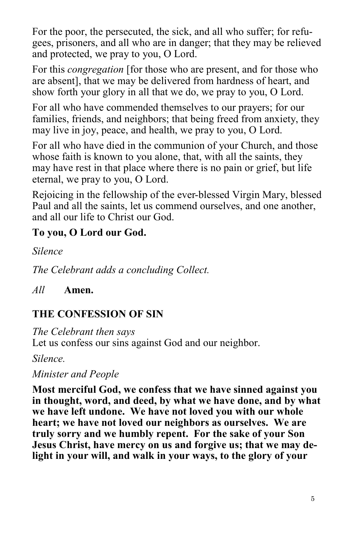For the poor, the persecuted, the sick, and all who suffer; for refugees, prisoners, and all who are in danger; that they may be relieved and protected, we pray to you, O Lord.

For this *congregation* [for those who are present, and for those who are absent], that we may be delivered from hardness of heart, and show forth your glory in all that we do, we pray to you, O Lord.

For all who have commended themselves to our prayers; for our families, friends, and neighbors; that being freed from anxiety, they may live in joy, peace, and health, we pray to you, O Lord.

For all who have died in the communion of your Church, and those whose faith is known to you alone, that, with all the saints, they may have rest in that place where there is no pain or grief, but life eternal, we pray to you, O Lord.

Rejoicing in the fellowship of the ever-blessed Virgin Mary, blessed Paul and all the saints, let us commend ourselves, and one another, and all our life to Christ our God.

# **To you, O Lord our God.**

*Silence*

*The Celebrant adds a concluding Collect.*

*All* **Amen.** 

# **THE CONFESSION OF SIN**

*The Celebrant then says* Let us confess our sins against God and our neighbor.

*Silence.* 

*Minister and People*

**Most merciful God, we confess that we have sinned against you in thought, word, and deed, by what we have done, and by what we have left undone. We have not loved you with our whole heart; we have not loved our neighbors as ourselves. We are truly sorry and we humbly repent. For the sake of your Son Jesus Christ, have mercy on us and forgive us; that we may delight in your will, and walk in your ways, to the glory of your**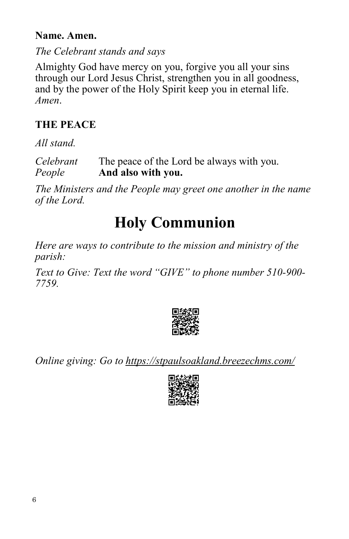#### **Name. Amen.**

#### *The Celebrant stands and says*

Almighty God have mercy on you, forgive you all your sins through our Lord Jesus Christ, strengthen you in all goodness, and by the power of the Holy Spirit keep you in eternal life. *Amen*.

#### **THE PEACE**

*All stand.*

*Celebrant* The peace of the Lord be always with you. *People* **And also with you.** 

*The Ministers and the People may greet one another in the name of the Lord.*

# **Holy Communion**

*Here are ways to contribute to the mission and ministry of the parish:*

*Text to Give: Text the word "GIVE" to phone number 510-900- 7759.*



*Online giving: Go to [https://stpaulsoakland.breezechms.com/](https://stpaulsoakland.breezechms.com/give/online)*

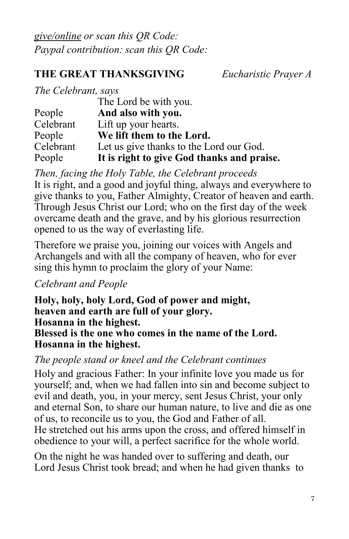*[give/online](https://stpaulsoakland.breezechms.com/give/online) or scan this QR Code: Paypal contribution: scan this QR Code:*

#### **THE GREAT THANKSGIVING** *Eucharistic Prayer A*

*The Celebrant, says*

|           | The Lord be with you.                      |
|-----------|--------------------------------------------|
| People    | And also with you.                         |
| Celebrant | Lift up your hearts.                       |
| People    | We lift them to the Lord.                  |
| Celebrant | Let us give thanks to the Lord our God.    |
| People    | It is right to give God thanks and praise. |

*Then, facing the Holy Table, the Celebrant proceeds* It is right, and a good and joyful thing, always and everywhere to give thanks to you, Father Almighty, Creator of heaven and earth. Through Jesus Christ our Lord; who on the first day of the week overcame death and the grave, and by his glorious resurrection opened to us the way of everlasting life.

Therefore we praise you, joining our voices with Angels and Archangels and with all the company of heaven, who for ever sing this hymn to proclaim the glory of your Name:

#### *Celebrant and People*

**Holy, holy, holy Lord, God of power and might, heaven and earth are full of your glory. Hosanna in the highest. Blessed is the one who comes in the name of the Lord. Hosanna in the highest.**

#### *The people stand or kneel and the Celebrant continues*

Holy and gracious Father: In your infinite love you made us for yourself; and, when we had fallen into sin and become subject to evil and death, you, in your mercy, sent Jesus Christ, your only and eternal Son, to share our human nature, to live and die as one of us, to reconcile us to you, the God and Father of all. He stretched out his arms upon the cross, and offered himself in obedience to your will, a perfect sacrifice for the whole world.

On the night he was handed over to suffering and death, our Lord Jesus Christ took bread; and when he had given thanks to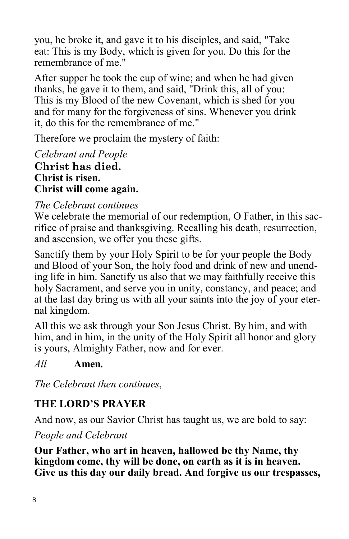you, he broke it, and gave it to his disciples, and said, "Take eat: This is my Body, which is given for you. Do this for the remembrance of me."

After supper he took the cup of wine; and when he had given thanks, he gave it to them, and said, "Drink this, all of you: This is my Blood of the new Covenant, which is shed for you and for many for the forgiveness of sins. Whenever you drink it, do this for the remembrance of me."

Therefore we proclaim the mystery of faith:

*Celebrant and People* **Christ has died. Christ is risen. Christ will come again.**

#### *The Celebrant continues*

We celebrate the memorial of our redemption, O Father, in this sacrifice of praise and thanksgiving. Recalling his death, resurrection, and ascension, we offer you these gifts.

Sanctify them by your Holy Spirit to be for your people the Body and Blood of your Son, the holy food and drink of new and unending life in him. Sanctify us also that we may faithfully receive this holy Sacrament, and serve you in unity, constancy, and peace; and at the last day bring us with all your saints into the joy of your eternal kingdom.

All this we ask through your Son Jesus Christ. By him, and with him, and in him, in the unity of the Holy Spirit all honor and glory is yours, Almighty Father, now and for ever.

#### *All* **Amen***.*

*The Celebrant then continues*,

### **THE LORD'S PRAYER**

And now, as our Savior Christ has taught us, we are bold to say:

*People and Celebrant*

**Our Father, who art in heaven, hallowed be thy Name, thy kingdom come, thy will be done, on earth as it is in heaven. Give us this day our daily bread. And forgive us our trespasses,**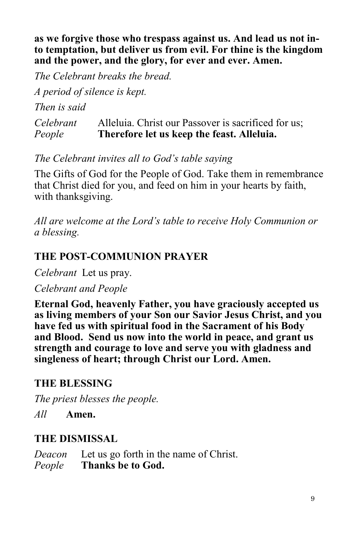#### **as we forgive those who trespass against us. And lead us not into temptation, but deliver us from evil. For thine is the kingdom and the power, and the glory, for ever and ever. Amen.**

*The Celebrant breaks the bread.* 

*A period of silence is kept.*

*Then is said*

*Celebrant* Alleluia. Christ our Passover is sacrificed for us; *People* **Therefore let us keep the feast. Alleluia.**

*The Celebrant invites all to God's table saying*

The Gifts of God for the People of God. Take them in remembrance that Christ died for you, and feed on him in your hearts by faith, with thanksgiving.

*All are welcome at the Lord's table to receive Holy Communion or a blessing.* 

### **THE POST-COMMUNION PRAYER**

*Celebrant* Let us pray.

*Celebrant and People*

**Eternal God, heavenly Father, you have graciously accepted us as living members of your Son our Savior Jesus Christ, and you have fed us with spiritual food in the Sacrament of his Body and Blood. Send us now into the world in peace, and grant us strength and courage to love and serve you with gladness and singleness of heart; through Christ our Lord. Amen.**

### **THE BLESSING**

*The priest blesses the people.*

*All* **Amen.** 

#### **THE DISMISSAL**

*Deacon* Let us go forth in the name of Christ. *People* **Thanks be to God.**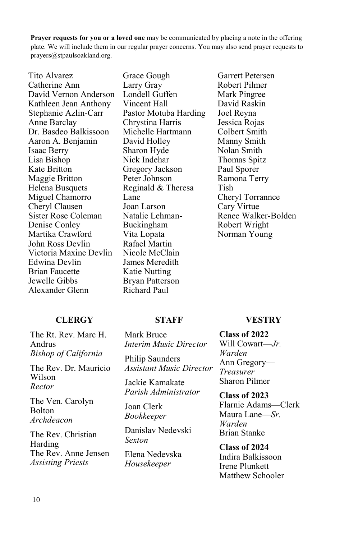**Prayer requests for you or a loved one** may be communicated by placing a note in the offering plate. We will include them in our regular prayer concerns. You may also send prayer requests to prayers@stpaulsoakland.org.

Tito Alvarez Catherine Ann David Vernon Anderson Kathleen Jean Anthony Stephanie Azlin-Carr Anne Barclay Dr. Basdeo Balkissoon Aaron A. Benjamin Isaac Berry Lisa Bishop Kate Britton Maggie Britton Helena Busquets Miguel Chamorro Cheryl Clausen Sister Rose Coleman Denise Conley Martika Crawford John Ross Devlin Victoria Maxine Devlin Edwina Devlin Brian Faucette Jewelle Gibbs Alexander Glenn

#### Grace Gough Larry Gray Londell Guffen Vincent Hall Pastor Motuba Harding Chrystina Harris Michelle Hartmann David Holley Sharon Hyde Nick Indehar Gregory Jackson Peter Johnson Reginald & Theresa Lane Joan Larson Natalie Lehman-Buckingham Vita Lopata Rafael Martin Nicole McClain James Meredith Katie Nutting Bryan Patterson Richard Paul

Garrett Petersen Robert Pilmer Mark Pingree David Raskin Joel Reyna Jessica Rojas Colbert Smith Manny Smith Nolan Smith Thomas Spitz Paul Sporer Ramona Terry Tish Cheryl Torrannce Cary Virtue Renee Walker-Bolden Robert Wright Norman Young

#### **CLERGY**

The Rt. Rev. Marc H. Andrus *Bishop of California*

The Rev. Dr. Mauricio Wilson *Rector*

The Ven. Carolyn Bolton *Archdeacon*

The Rev. Christian Harding The Rev. Anne Jensen *Assisting Priests*

#### **STAFF**

Mark Bruce *Interim Music Director*

Philip Saunders *Assistant Music Director*

Jackie Kamakate *Parish Administrator*

Joan Clerk *Bookkeeper*

Danislav Nedevski *Sexton*

Elena Nedevska *Housekeeper*

#### **VESTRY**

#### **Class of 2022** Will Cowart—*Jr. Warden* Ann Gregory— *Treasurer* Sharon Pilmer

**Class of 2023** Flarnie Adams—Clerk Maura Lane—*Sr. Warden* Brian Stanke

**Class of 2024** Indira Balkissoon Irene Plunkett Matthew Schooler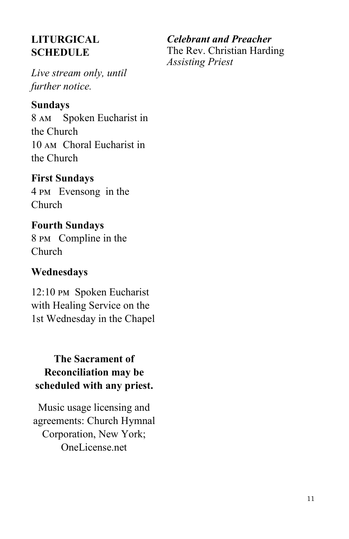## **LITURGICAL SCHEDULE**

*Live stream only, until further notice.*

#### **Sundays**

8 am Spoken Eucharist in the Church 10 am Choral Eucharist in the Church

# **First Sundays**

4 pm Evensong in the Church

#### **Fourth Sundays** 8 pm Compline in the Church

#### **Wednesdays**

12:10 pm Spoken Eucharist with Healing Service on the 1st Wednesday in the Chapel

## **The Sacrament of Reconciliation may be scheduled with any priest.**

Music usage licensing and agreements: Church Hymnal Corporation, New York; OneLicense.net

*Celebrant and Preacher* The Rev. Christian Harding *Assisting Priest*